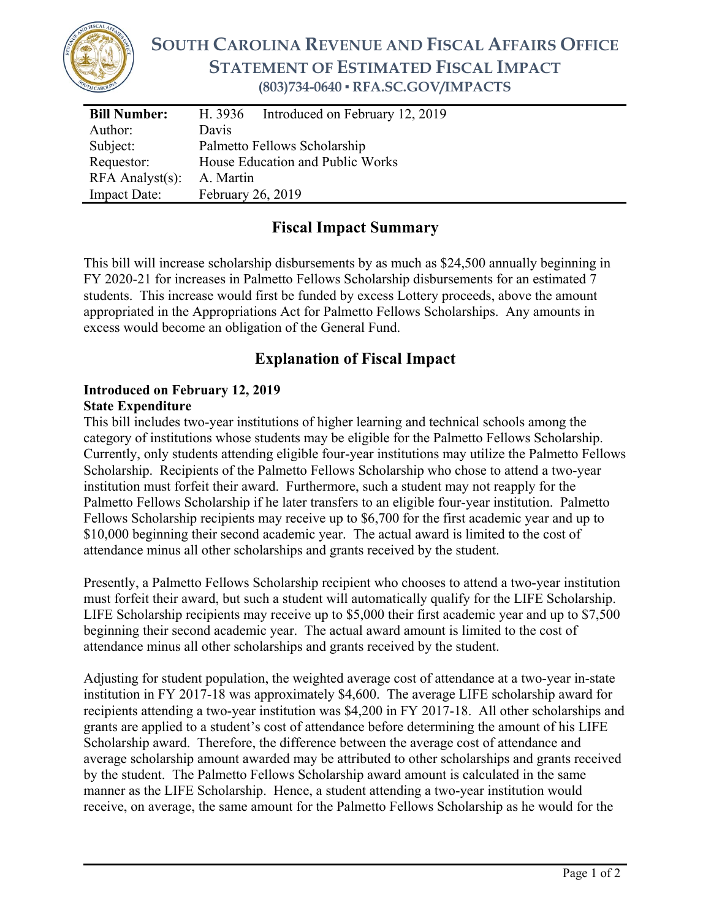

## **SOUTH CAROLINA REVENUE AND FISCAL AFFAIRS OFFICE STATEMENT OF ESTIMATED FISCAL IMPACT (803)734-0640 ▪ RFA.SC.GOV/IMPACTS**

| <b>Bill Number:</b>   | Introduced on February 12, 2019<br>H. 3936 |
|-----------------------|--------------------------------------------|
| Author:               | Davis                                      |
| Subject:              | Palmetto Fellows Scholarship               |
| Requestor:            | House Education and Public Works           |
| $RFA$ Analyst $(s)$ : | A. Martin                                  |
| <b>Impact Date:</b>   | February 26, 2019                          |

## **Fiscal Impact Summary**

This bill will increase scholarship disbursements by as much as \$24,500 annually beginning in FY 2020-21 for increases in Palmetto Fellows Scholarship disbursements for an estimated 7 students. This increase would first be funded by excess Lottery proceeds, above the amount appropriated in the Appropriations Act for Palmetto Fellows Scholarships. Any amounts in excess would become an obligation of the General Fund.

## **Explanation of Fiscal Impact**

## **Introduced on February 12, 2019 State Expenditure**

This bill includes two-year institutions of higher learning and technical schools among the category of institutions whose students may be eligible for the Palmetto Fellows Scholarship. Currently, only students attending eligible four-year institutions may utilize the Palmetto Fellows Scholarship. Recipients of the Palmetto Fellows Scholarship who chose to attend a two-year institution must forfeit their award. Furthermore, such a student may not reapply for the Palmetto Fellows Scholarship if he later transfers to an eligible four-year institution. Palmetto Fellows Scholarship recipients may receive up to \$6,700 for the first academic year and up to \$10,000 beginning their second academic year. The actual award is limited to the cost of attendance minus all other scholarships and grants received by the student.

Presently, a Palmetto Fellows Scholarship recipient who chooses to attend a two-year institution must forfeit their award, but such a student will automatically qualify for the LIFE Scholarship. LIFE Scholarship recipients may receive up to \$5,000 their first academic year and up to \$7,500 beginning their second academic year. The actual award amount is limited to the cost of attendance minus all other scholarships and grants received by the student.

Adjusting for student population, the weighted average cost of attendance at a two-year in-state institution in FY 2017-18 was approximately \$4,600. The average LIFE scholarship award for recipients attending a two-year institution was \$4,200 in FY 2017-18. All other scholarships and grants are applied to a student's cost of attendance before determining the amount of his LIFE Scholarship award. Therefore, the difference between the average cost of attendance and average scholarship amount awarded may be attributed to other scholarships and grants received by the student. The Palmetto Fellows Scholarship award amount is calculated in the same manner as the LIFE Scholarship. Hence, a student attending a two-year institution would receive, on average, the same amount for the Palmetto Fellows Scholarship as he would for the